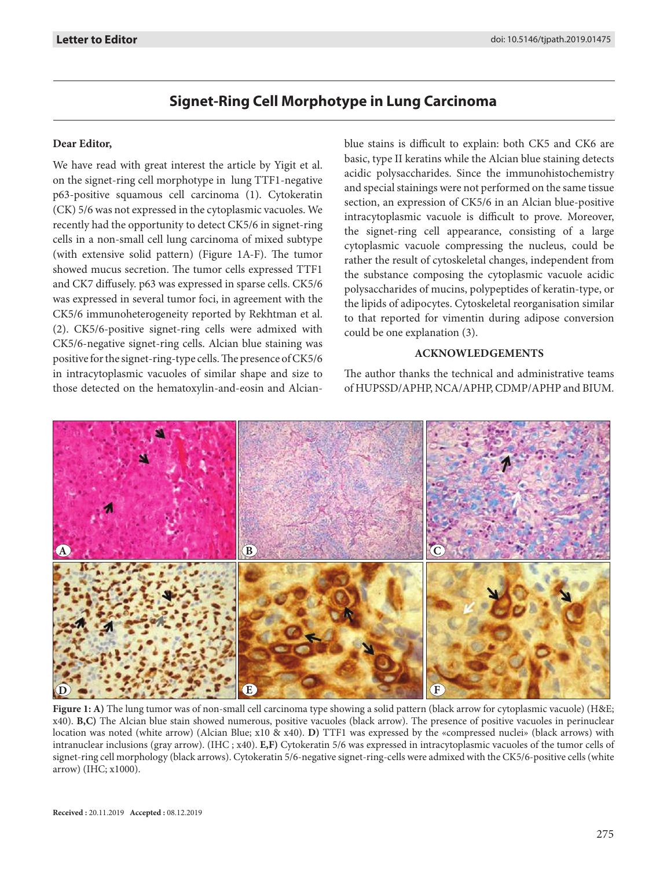# **Signet-Ring Cell Morphotype in Lung Carcinoma**

### **Dear Editor,**

We have read with great interest the article by Yigit et al. on the signet-ring cell morphotype in lung TTF1-negative p63-positive squamous cell carcinoma (1). Cytokeratin (CK) 5/6 was not expressed in the cytoplasmic vacuoles. We recently had the opportunity to detect CK5/6 in signet-ring cells in a non-small cell lung carcinoma of mixed subtype (with extensive solid pattern) (Figure 1A-F). The tumor showed mucus secretion. The tumor cells expressed TTF1 and CK7 diffusely. p63 was expressed in sparse cells. CK5/6 was expressed in several tumor foci, in agreement with the CK5/6 immunoheterogeneity reported by Rekhtman et al. (2). CK5/6-positive signet-ring cells were admixed with CK5/6-negative signet-ring cells. Alcian blue staining was positive for the signet-ring-type cells. The presence of CK5/6 in intracytoplasmic vacuoles of similar shape and size to those detected on the hematoxylin-and-eosin and Alcianblue stains is difficult to explain: both CK5 and CK6 are basic, type II keratins while the Alcian blue staining detects acidic polysaccharides. Since the immunohistochemistry and special stainings were not performed on the same tissue section, an expression of CK5/6 in an Alcian blue-positive intracytoplasmic vacuole is difficult to prove. Moreover, the signet-ring cell appearance, consisting of a large cytoplasmic vacuole compressing the nucleus, could be rather the result of cytoskeletal changes, independent from the substance composing the cytoplasmic vacuole acidic polysaccharides of mucins, polypeptides of keratin-type, or the lipids of adipocytes. Cytoskeletal reorganisation similar to that reported for vimentin during adipose conversion could be one explanation (3).

### **ACKNOWLEDGEMENTS**

The author thanks the technical and administrative teams of HUPSSD/APHP, NCA/APHP, CDMP/APHP and BIUM.



**Figure 1: A)** The lung tumor was of non-small cell carcinoma type showing a solid pattern (black arrow for cytoplasmic vacuole) (H&E; x40). **B,C)** The Alcian blue stain showed numerous, positive vacuoles (black arrow). The presence of positive vacuoles in perinuclear location was noted (white arrow) (Alcian Blue; x10 & x40). **D)** TTF1 was expressed by the «compressed nuclei» (black arrows) with intranuclear inclusions (gray arrow). (IHC ; x40). **E,F)** Cytokeratin 5/6 was expressed in intracytoplasmic vacuoles of the tumor cells of signet-ring cell morphology (black arrows). Cytokeratin 5/6-negative signet-ring-cells were admixed with the CK5/6-positive cells (white arrow) (IHC; x1000).